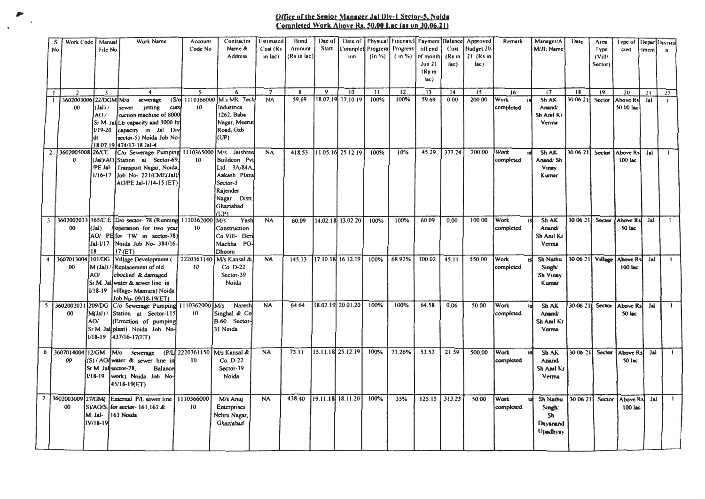## omsr or JIit Senior **Manager ,<sup>111</sup>**Dly-1 swor-~. Nolda <u>Completed Work Above Rs. 50.00 Luc (as on 30.06.21)</u>

|                | Work Code<br>S<br>No<br>$\overline{z}$<br>00 | Manual<br>File No<br>$\ddot{\phantom{1}}$<br>3602003006 22/DGM M/o<br>(lal)<br>AO/ | Work Name<br>$\blacktriangleleft$<br>sewerage<br><b>etting</b><br>sewer<br>cum<br>suction machine of 8000                                                     | Account<br>Code No<br>$\sim$<br>(S/o 1110366000<br>10 | Contractor<br>Namc &<br>Address<br>6<br>M.s MK Tech<br>Industries<br>1262, Baba                           | i stimated<br>Cost (Rs<br>in lac)<br>$\overline{7}$<br><b>NA</b> | Bond<br>Amount<br>(Rs in lac)<br>$\mathbf{R}$<br>59.69 | Dac of<br>Start<br>9 | Date of<br>Comnplet<br><b>ton</b><br>10<br>18.07.19 17.10 19 | Progress<br>$(ln \% )$<br>11<br>100% | Physical Finenaich<br>Progress<br>$(10\%)$<br>12<br>100% | Payment<br>till end<br>of month<br>Jun 21<br>(Rs in<br>  <sub>AC</sub><br>13<br>59.69 | Balance<br>Cost<br>$(Rs$ <sub>in</sub><br>$ _{BC}$<br>14<br>000 | Approved<br>Hudget 20-<br>$21$ (Rs in<br>$rac{1}{2}$<br>15<br>200.00 | Remark<br>16<br>Work<br>completed | Manager/A<br>M/JI: Name<br>17<br>Sh AK<br>Anand/<br>Sh Anil Kr | Date<br>18<br>30 06 21 | Arca<br>lype<br>(V(1))<br>Sector)<br>19<br>Sector | l ype of<br>cost<br>20<br>Above Rs<br>50 00 lac | Iment<br>21<br>Jal | Depar Divisio<br>$\mathbf{r}$<br>$^{22}$<br>$\overline{1}$ |
|----------------|----------------------------------------------|------------------------------------------------------------------------------------|---------------------------------------------------------------------------------------------------------------------------------------------------------------|-------------------------------------------------------|-----------------------------------------------------------------------------------------------------------|------------------------------------------------------------------|--------------------------------------------------------|----------------------|--------------------------------------------------------------|--------------------------------------|----------------------------------------------------------|---------------------------------------------------------------------------------------|-----------------------------------------------------------------|----------------------------------------------------------------------|-----------------------------------|----------------------------------------------------------------|------------------------|---------------------------------------------------|-------------------------------------------------|--------------------|------------------------------------------------------------|
|                | 2 3602005008                                 | $119 - 20$<br>26/CE                                                                | Sr M JallLtr capacity and 3000 ltr<br>capacity in Jal Div<br>sector-5) Noida Job No-<br>18.07.19 474/17-18 Jal-4<br>C/o Sewerage Pumping 1110365000           |                                                       | Nagar, Meerut<br>Road, Gzb<br>(UP)<br>M/s Jaishree                                                        | <b>NA</b>                                                        | 418.53                                                 |                      | 11.05.16 25.12.19                                            | 100%                                 | 10%                                                      | 45.29                                                                                 | 373.24                                                          | 200.00                                                               | Work                              | Verma<br>Sh AK<br>Anand/Sh                                     | 30 06 21               | Sector                                            | Above Rs<br>100 lac                             | Jai                | $\mathbf{I}$                                               |
|                | $\bf{0}$                                     | /PE Jal-                                                                           | (Jal)/AO Station at Sector-69.<br>Transport Nagar, Noida,<br>$1/16-17$ Job No- 221/CME(Jal)<br>AO/PE Jal-1/14-15 (ET)                                         | 10 <sup>°</sup>                                       | Buildcon Pvt<br>Ltd. 3A/84A.<br>Aakash Plaza<br>Sector-5<br>Rajender<br>Nagar Distt.<br>Ghaziabad<br>(UP) |                                                                  |                                                        |                      |                                                              |                                      |                                                          |                                                                                       |                                                                 |                                                                      | completed                         | Vinav<br>Kumar                                                 |                        |                                                   |                                                 |                    |                                                            |
| 3 <sup>1</sup> | 00                                           | $(\text{Jal})$<br>18                                                               | 3602002033 165/C.E D/o sector- 78 (Running 1110362000<br>operation for two year<br>AO/ PE for TW in sector-78)<br>Jal-1/17- Noida Job No- 384/16-<br>17(ET)   | 10                                                    | Yash<br>M/s<br>Construction<br>Co.Vill-Deri<br>Machha PO-<br>Dhoom                                        | <b>NA</b>                                                        | 60.09                                                  |                      | 14.02.18 13.02.20                                            | 100%                                 | 100%                                                     | 60.09                                                                                 | 0.00                                                            | 100.00                                                               | Work<br>completed.                | Sh AK<br>Anand/<br>Sh Anil Kr<br>Verma                         | 30 06 21               | Sector                                            | Above Rsl<br>50 lac                             | Jal                | $\mathbf{1}$                                               |
| 4              | 3607013004<br>$00\,$                         | 101/DG<br>AO/<br>$U18-19$                                                          | Village Development (<br>M (Jal) / Replacement of old<br>chocked & damaged<br>Sr.M. Jal water & sewer line in<br>village-Mamura) Noida<br>Job No-09/18-19(ET) | 2220361140<br>10                                      | M/s Kansal &<br>Co. D-22<br>Sector-39<br>Noida                                                            | <b>NA</b>                                                        | 145.13                                                 |                      | 17.10.18 16.12.19                                            | 100%                                 | 68.92%                                                   | 100.02                                                                                | 45.11                                                           | 550.00                                                               | Work<br>completed.                | Sh Nathu<br>Singh/<br>Sh Vinay<br>Kumar                        | 30 06 21 Village       |                                                   | Above Rs<br>100 lac                             | Jal                | $\mathbf{L}$                                               |
| 5              | 3602002031<br>00                             | 209/DG<br>M(Jal)/<br>AO/<br>$U18-19$                                               | C/o Sewerage Pumping 1110362000 M/s<br>Station at Sector-115<br>(Errection of pumping<br>Sr.M. Jal plant) Noida Job No-<br>437/16-17(ET)                      | 10 <sup>°</sup>                                       | Naresh<br>Singhal & Co<br>B-60 Sector-<br>31 Noida                                                        | <b>NA</b>                                                        | 64.64                                                  |                      | 18.02.19 20.01.20                                            | 100%                                 | 100%                                                     | 64.58                                                                                 | 0.06                                                            | 50.00                                                                | Work<br>completed.                | Sh AK<br>Anand/<br>Sh Anal Kr<br>Verma                         | 30 06 21               | Sector                                            | <b>Above Rs</b><br>50 lac                       | Jai                | $\mathbf{1}$                                               |
| 6              | 3607014004<br>00                             | 12/GM<br>$V18-19$                                                                  | $M\sigma$<br>sewerage<br>(S)/AO/water & sewer line in<br>Sr.M. Jail sector-78.<br>Balance<br>work) Noida Job No-<br>45/18-19(ET)                              | (P/L 2220361150<br>10                                 | M/s Kansal &<br>Co. D-22<br>Sector-39<br>Noida                                                            | <b>NA</b>                                                        | 75.11                                                  |                      | 15.11.18 25.12.19                                            | 100%                                 | 71.26%                                                   | 53.52                                                                                 | 21.59                                                           | 500.00                                                               | Work<br>completed.                | Sh AK<br>Anand<br>Sh Anil Kr<br>Verma                          | 30 06 21               | <b>Sector</b>                                     | Above Rs<br>50 lac                              | Jal                | $\mathbf{1}$                                               |
|                | 7 3602003009 27/GM<br>00                     | M. Jal-<br>IV/18-19                                                                | External P/L sewer line   1110366000<br>SVAO/S. for sector-161, 162 &<br>163 Noida                                                                            | 10 <sup>°</sup>                                       | M/s Anuj<br>Enterprises<br>Nehru Nagar,<br>Ghaziabad                                                      | <b>NA</b>                                                        | 438.40                                                 |                      | 19.11.18 18.11.20                                            | 100%                                 | 35%                                                      | 125.15                                                                                | 313.25                                                          | 50.00                                                                | Work<br>completed.                | <b>Sh Nathu</b><br>Singh'<br>Sh<br>Davanand<br>Upadhyay        | 30 06 21               | Sector                                            | Above Rs<br>100 lac                             | Jai                | $\mathbf{1}$                                               |

 $\ddot{\phantom{0}}$ 

 $\overline{\phantom{a}}$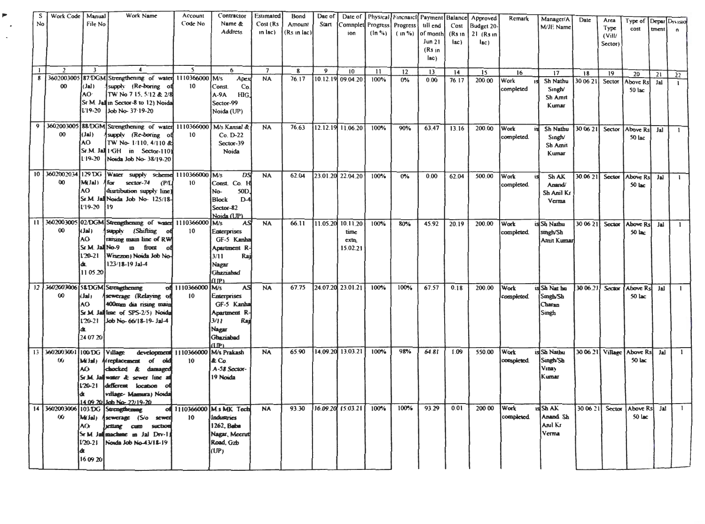| No               | Work Code J Manual<br>$\mathcal{P}$ | File No                                                    | Work Name                                                                                                                                                                                                   | Account<br>Code No<br>$\overline{\mathbf{S}}$ | <b>Contractor</b><br>Name &<br>Address<br>6                                                                      | Estimated<br>Cost (Rs<br>in lac)<br>$\overline{7}$ | <b>Bond</b><br>Amount<br>(Rs in lac)<br>8 | Dac of<br>Start<br>9 | Comnplet<br>ion<br>10                    | Progress<br>$(\ln \frac{6}{6})$<br>$\mathbf{11}$ | Progress<br>$(n\%$ | Date of Physical Finenaicl Payment Balance<br>till end<br>of month<br>Jun 21<br>(Rs in<br>lac) | Cost<br>(Rs <sub>1n</sub> )<br>lac) | Approved<br>Budget 20<br>$21$ (Rs in<br>lac) | Remark             | Manager/A<br>M/JE Name                           | Date           | Area<br>Type<br>(ViU)<br>Sector) | Type of Depar Divisio<br>cost | tment     | $\mathbf{r}$ |
|------------------|-------------------------------------|------------------------------------------------------------|-------------------------------------------------------------------------------------------------------------------------------------------------------------------------------------------------------------|-----------------------------------------------|------------------------------------------------------------------------------------------------------------------|----------------------------------------------------|-------------------------------------------|----------------------|------------------------------------------|--------------------------------------------------|--------------------|------------------------------------------------------------------------------------------------|-------------------------------------|----------------------------------------------|--------------------|--------------------------------------------------|----------------|----------------------------------|-------------------------------|-----------|--------------|
| 8                | 3602003005                          |                                                            | 87/DGM Strengthening of water 1110366000                                                                                                                                                                    |                                               | <b>M</b> /s<br>Apex                                                                                              | NA                                                 | 76.17                                     |                      | 10.12.19 09.04.20                        | 100%                                             | 12<br>0%           | 13<br>0.00                                                                                     | 14<br>76.17                         | 15<br>200.00                                 | 16<br>Work         | 17<br>Sh Nathu                                   | 18<br>30 06 21 | 19<br>Sector                     | 20<br><b>Above Rs</b>         | 21<br>Jal | 22           |
|                  | $00\,$                              | (LL)<br>AO <sup></sup><br>$19-20$                          | supply (Re-boring of<br>TW No 7 15, 5/12 & 2/8<br>Sr M. Jallin Sector-8 to 12) Noida<br>Job No- 37 19-20                                                                                                    | 10                                            | Const.<br>Co.<br>$A-9A$<br>HIG,<br>Sector-99<br>Noida (UP)                                                       |                                                    |                                           |                      |                                          |                                                  |                    |                                                                                                |                                     |                                              | completed          | Singh/<br>Sh Amrt<br>Kumar                       |                |                                  | 50 lac                        |           | $\mathbf{I}$ |
| $\boldsymbol{Q}$ | 00                                  | $(L_1)$<br>AO.<br>$1.19 - 20$                              | 3602003005 88/DGM Strengthening of water 1110366000<br>supply (Re-boring of<br>TW No-1/110, 4/110 &<br>Sr.M. Jall 1 GH in Sector-110)<br>Noida Job No-38/19-20                                              | 10 <sup>°</sup>                               | M/s Kansal &<br>Co. D-22<br>Sector-39<br>Noida                                                                   | <b>NA</b>                                          | 76.63                                     |                      | 12.12.19 11.06.20                        | 100%                                             | 90%                | 63.47                                                                                          | 13.16                               | 200.00                                       | Work<br>completed. | Sh Nathu<br>Singh/<br>Sh Amit<br>Kumar           | 30 06 21       | Sector                           | Above Rs<br>50 lac            | Jal       | $\mathbf{1}$ |
|                  | 10 3602002034<br>00                 | 129 DG<br>M(Jal)<br>AO<br>I'19-20                          | Water supply scheme 1110366000 M/s<br>for sector-74<br><b>CP/L</b><br>distribution supply line)<br>Sr.M. Jail Noida Job No- 125/18-<br>119                                                                  | 10                                            | DS<br>Const. Co. H<br>50 <sub>D</sub><br>No-<br><b>Block</b><br>$D-4$<br>Sector-82<br>Noida (UP)                 | <b>NA</b>                                          | 62.04                                     |                      | 23.01.20 22.04.20                        | 100%                                             | $0\%$              | 0.00                                                                                           | 62.04                               | 500.00                                       | Work<br>completed  | Sh AK<br>Anand/<br>Sh Anil Kr<br>Verma           | 30.06.21       | Sector                           | Above Rs<br>50 lac            | Jal       | $\mathbf{L}$ |
|                  | $\boldsymbol{\omega}$               | ( اهل)<br>AO.<br>Sr.M. JallNo-9<br>$120 - 21$<br>[1105.20] | 11 3602003005 02 DGM Strengthening of water 1110366000<br>supply (Shifting<br>raising main line of RW<br>$\mathbf{m}$<br>front<br>Wisezon) Noida Job No-<br>123/18-19 Jal-4                                 | 10                                            | M/s<br>AS<br>Enterprises<br>GF-5 Kanha<br>Apartment R-<br>3/11<br>Raj<br>Nagar<br>Ghaziabad<br>(1)P              | <b>NA</b>                                          | 66.11                                     | 11.05.20             | 10.11.20<br>time<br>$ext{m}$<br>15.02.21 | 100%                                             | 80%                | 45.92                                                                                          | 20.19                               | 200.00                                       | Work<br>completed  | is Sb Nathu<br>singh/Sh<br>Amit Kumar            | 30 06 21       | Sector                           | <b>Above Rs</b><br>50 lac     | Jal       | $\mathbf{1}$ |
|                  | $\omega$                            | ı lat k<br>AO<br>$120 - 21$<br>24 07 20                    | 12 3602003006 5&DGM Strengthening<br>sewerage (Relaying of<br>400mm dia rising main<br>Sr.M. Jailline of SPS-2/5) Noida<br>Job No-66/18-19-Jal-4                                                            | of 1110366000<br>10                           | <b>AS</b><br>M/s<br><b>Enterprises</b><br>GF-5 Kanha<br>Apartment R-<br>3/11<br>Raj<br>Nagar<br>Ghaziabad<br>(ሆ) | <b>NA</b>                                          | 67.75                                     |                      | 24.07.20 23.01.21                        | 100%                                             | 100%               | 67.57                                                                                          | 0.18                                | 200.00                                       | Work<br>completed. | is Sh Nat hu<br>Singh/Sh<br>Charan<br>Singh      | 30 06 21       | Sector                           | <b>Above Rs</b><br>50 lac     | Jal       | $\mathbf{1}$ |
| 13               | 3602003001<br>UG.                   | 100DG<br>(Mdal)<br>AO.<br>$120 - 21$                       | Village<br>development 1110366000<br>l replacement<br>of<br>old<br>chocked & damaged<br>Sr.M. Jailwater & sewer line at<br>different location<br>village- Mamura) Noida<br><u>14.09.2011ab No-22/19-20.</u> | 10                                            | M/s Prakash<br>& Co.<br>A-58 Sector-<br>19 Noida                                                                 | <b>NA</b>                                          | 65.90                                     |                      | 14.09.20 13.03.21                        | 100%                                             | 98%                | 64.81                                                                                          | 1.09                                | 550.00                                       | Work<br>completed. | is Sh Nathu<br>Singh/Sh<br><b>Vinav</b><br>Kumar |                | 30 06 21 Village                 | <b>Above Rs</b><br>50 lac     | Jal       | $\mathbf{1}$ |
|                  | 14 3602003006 103:DG<br>00          | $M_{\rm BH}$<br>AO<br>$120 - 21$<br>16 09 20               | Strengthensag<br>sewerage (S/o sewed<br>sciting cum<br>suction<br>Sr M. Jailmachane in Jal Div-1;<br>Norda Job No. 43/18-19                                                                                 | 10                                            | of 1110366000 M.s MK Tech<br>Industries<br>1262, Baba<br>Nagar, Meerut<br>Road, Gzb<br>(UP)                      | <b>NA</b>                                          | 93.30                                     |                      | 16.09.20 15.03.21                        | 100%                                             | 100%               | 93.29                                                                                          | 0.01                                | 200 00                                       | Work<br>completed. | usi Sh A.K<br>Anand Sh<br>Anil Kr<br>Verma       | 30 06 21       | Sector                           | Above Rs<br>50 lac            | Jal       | $\mathbf{1}$ |